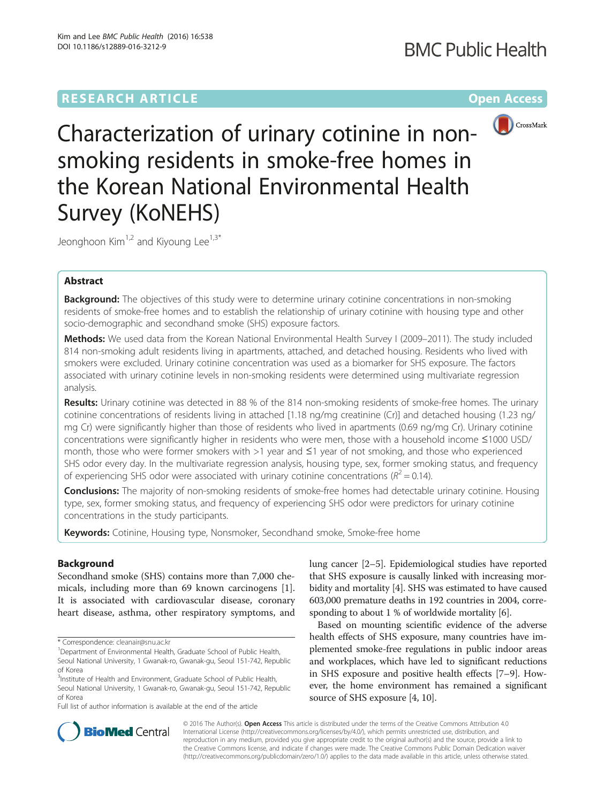# **RESEARCH ARTICLE Example 2014 12:30 The Contract of Contract ACCESS**



Characterization of urinary cotinine in nonsmoking residents in smoke-free homes in the Korean National Environmental Health Survey (KoNEHS)

Jeonghoon  $\text{Kim}^{1,2}$  and Kiyoung Lee<sup>1,3\*</sup>

# Abstract

**Background:** The objectives of this study were to determine urinary cotinine concentrations in non-smoking residents of smoke-free homes and to establish the relationship of urinary cotinine with housing type and other socio-demographic and secondhand smoke (SHS) exposure factors.

Methods: We used data from the Korean National Environmental Health Survey I (2009–2011). The study included 814 non-smoking adult residents living in apartments, attached, and detached housing. Residents who lived with smokers were excluded. Urinary cotinine concentration was used as a biomarker for SHS exposure. The factors associated with urinary cotinine levels in non-smoking residents were determined using multivariate regression analysis.

Results: Urinary cotinine was detected in 88 % of the 814 non-smoking residents of smoke-free homes. The urinary cotinine concentrations of residents living in attached [1.18 ng/mg creatinine (Cr)] and detached housing (1.23 ng/ mg Cr) were significantly higher than those of residents who lived in apartments (0.69 ng/mg Cr). Urinary cotinine concentrations were significantly higher in residents who were men, those with a household income ≤1000 USD/ month, those who were former smokers with >1 year and ≤1 year of not smoking, and those who experienced SHS odor every day. In the multivariate regression analysis, housing type, sex, former smoking status, and frequency of experiencing SHS odor were associated with urinary cotinine concentrations ( $R^2$  = 0.14).

Conclusions: The majority of non-smoking residents of smoke-free homes had detectable urinary cotinine. Housing type, sex, former smoking status, and frequency of experiencing SHS odor were predictors for urinary cotinine concentrations in the study participants.

Keywords: Cotinine, Housing type, Nonsmoker, Secondhand smoke, Smoke-free home

## Background

Secondhand smoke (SHS) contains more than 7,000 chemicals, including more than 69 known carcinogens [\[1](#page-7-0)]. It is associated with cardiovascular disease, coronary heart disease, asthma, other respiratory symptoms, and

Full list of author information is available at the end of the article

lung cancer [\[2](#page-7-0)–[5\]](#page-7-0). Epidemiological studies have reported that SHS exposure is causally linked with increasing morbidity and mortality [\[4](#page-7-0)]. SHS was estimated to have caused 603,000 premature deaths in 192 countries in 2004, corresponding to about 1 % of worldwide mortality [[6\]](#page-7-0).

Based on mounting scientific evidence of the adverse health effects of SHS exposure, many countries have implemented smoke-free regulations in public indoor areas and workplaces, which have led to significant reductions in SHS exposure and positive health effects [\[7](#page-7-0)–[9\]](#page-7-0). However, the home environment has remained a significant source of SHS exposure [[4](#page-7-0), [10\]](#page-7-0).



© 2016 The Author(s). Open Access This article is distributed under the terms of the Creative Commons Attribution 4.0 International License [\(http://creativecommons.org/licenses/by/4.0/](http://creativecommons.org/licenses/by/4.0/)), which permits unrestricted use, distribution, and reproduction in any medium, provided you give appropriate credit to the original author(s) and the source, provide a link to the Creative Commons license, and indicate if changes were made. The Creative Commons Public Domain Dedication waiver [\(http://creativecommons.org/publicdomain/zero/1.0/](http://creativecommons.org/publicdomain/zero/1.0/)) applies to the data made available in this article, unless otherwise stated.

<sup>\*</sup> Correspondence: [cleanair@snu.ac.kr](mailto:cleanair@snu.ac.kr) <sup>1</sup>

<sup>&</sup>lt;sup>1</sup>Department of Environmental Health, Graduate School of Public Health, Seoul National University, 1 Gwanak-ro, Gwanak-gu, Seoul 151-742, Republic of Korea

<sup>&</sup>lt;sup>3</sup>Institute of Health and Environment, Graduate School of Public Health, Seoul National University, 1 Gwanak-ro, Gwanak-gu, Seoul 151-742, Republic of Korea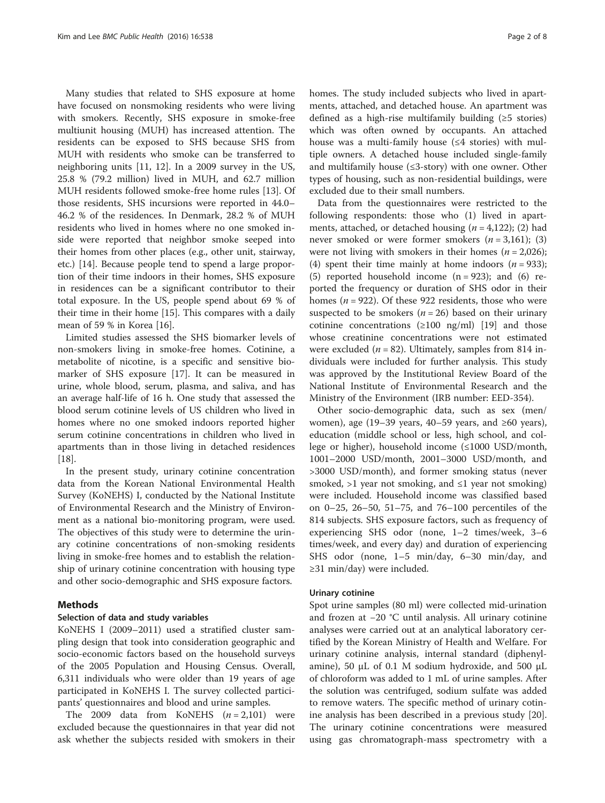Many studies that related to SHS exposure at home have focused on nonsmoking residents who were living with smokers. Recently, SHS exposure in smoke-free multiunit housing (MUH) has increased attention. The residents can be exposed to SHS because SHS from MUH with residents who smoke can be transferred to neighboring units [\[11, 12\]](#page-7-0). In a 2009 survey in the US, 25.8 % (79.2 million) lived in MUH, and 62.7 million MUH residents followed smoke-free home rules [[13\]](#page-7-0). Of those residents, SHS incursions were reported in 44.0– 46.2 % of the residences. In Denmark, 28.2 % of MUH residents who lived in homes where no one smoked inside were reported that neighbor smoke seeped into their homes from other places (e.g., other unit, stairway, etc.) [[14\]](#page-7-0). Because people tend to spend a large proportion of their time indoors in their homes, SHS exposure in residences can be a significant contributor to their total exposure. In the US, people spend about 69 % of their time in their home [\[15\]](#page-7-0). This compares with a daily mean of 59 % in Korea [[16](#page-7-0)].

Limited studies assessed the SHS biomarker levels of non-smokers living in smoke-free homes. Cotinine, a metabolite of nicotine, is a specific and sensitive biomarker of SHS exposure [[17\]](#page-7-0). It can be measured in urine, whole blood, serum, plasma, and saliva, and has an average half-life of 16 h. One study that assessed the blood serum cotinine levels of US children who lived in homes where no one smoked indoors reported higher serum cotinine concentrations in children who lived in apartments than in those living in detached residences [[18\]](#page-7-0).

In the present study, urinary cotinine concentration data from the Korean National Environmental Health Survey (KoNEHS) I, conducted by the National Institute of Environmental Research and the Ministry of Environment as a national bio-monitoring program, were used. The objectives of this study were to determine the urinary cotinine concentrations of non-smoking residents living in smoke-free homes and to establish the relationship of urinary cotinine concentration with housing type and other socio-demographic and SHS exposure factors.

### Methods

### Selection of data and study variables

KoNEHS I (2009–2011) used a stratified cluster sampling design that took into consideration geographic and socio-economic factors based on the household surveys of the 2005 Population and Housing Census. Overall, 6,311 individuals who were older than 19 years of age participated in KoNEHS I. The survey collected participants' questionnaires and blood and urine samples.

The 2009 data from KoNEHS  $(n = 2,101)$  were excluded because the questionnaires in that year did not ask whether the subjects resided with smokers in their homes. The study included subjects who lived in apartments, attached, and detached house. An apartment was defined as a high-rise multifamily building (≥5 stories) which was often owned by occupants. An attached house was a multi-family house (≤4 stories) with multiple owners. A detached house included single-family and multifamily house (≤3-story) with one owner. Other types of housing, such as non-residential buildings, were excluded due to their small numbers.

Data from the questionnaires were restricted to the following respondents: those who (1) lived in apartments, attached, or detached housing  $(n = 4,122)$ ; (2) had never smoked or were former smokers  $(n = 3,161)$ ; (3) were not living with smokers in their homes ( $n = 2,026$ ); (4) spent their time mainly at home indoors  $(n = 933)$ ; (5) reported household income  $(n = 923)$ ; and  $(6)$  reported the frequency or duration of SHS odor in their homes ( $n = 922$ ). Of these 922 residents, those who were suspected to be smokers ( $n = 26$ ) based on their urinary cotinine concentrations  $(\geq 100 \text{ ng/ml})$  [[19](#page-7-0)] and those whose creatinine concentrations were not estimated were excluded ( $n = 82$ ). Ultimately, samples from 814 individuals were included for further analysis. This study was approved by the Institutional Review Board of the National Institute of Environmental Research and the Ministry of the Environment (IRB number: EED-354).

Other socio-demographic data, such as sex (men/ women), age (19–39 years, 40–59 years, and  $\geq 60$  years), education (middle school or less, high school, and college or higher), household income (≤1000 USD/month, 1001–2000 USD/month, 2001–3000 USD/month, and >3000 USD/month), and former smoking status (never smoked, >1 year not smoking, and  $\leq 1$  year not smoking) were included. Household income was classified based on 0–25, 26–50, 51–75, and 76–100 percentiles of the 814 subjects. SHS exposure factors, such as frequency of experiencing SHS odor (none, 1–2 times/week, 3–6 times/week, and every day) and duration of experiencing SHS odor (none, 1–5 min/day, 6–30 min/day, and ≥31 min/day) were included.

### Urinary cotinine

Spot urine samples (80 ml) were collected mid-urination and frozen at −20 °C until analysis. All urinary cotinine analyses were carried out at an analytical laboratory certified by the Korean Ministry of Health and Welfare. For urinary cotinine analysis, internal standard (diphenylamine), 50 μL of 0.1 M sodium hydroxide, and 500 μL of chloroform was added to 1 mL of urine samples. After the solution was centrifuged, sodium sulfate was added to remove waters. The specific method of urinary cotinine analysis has been described in a previous study [\[20](#page-7-0)]. The urinary cotinine concentrations were measured using gas chromatograph-mass spectrometry with a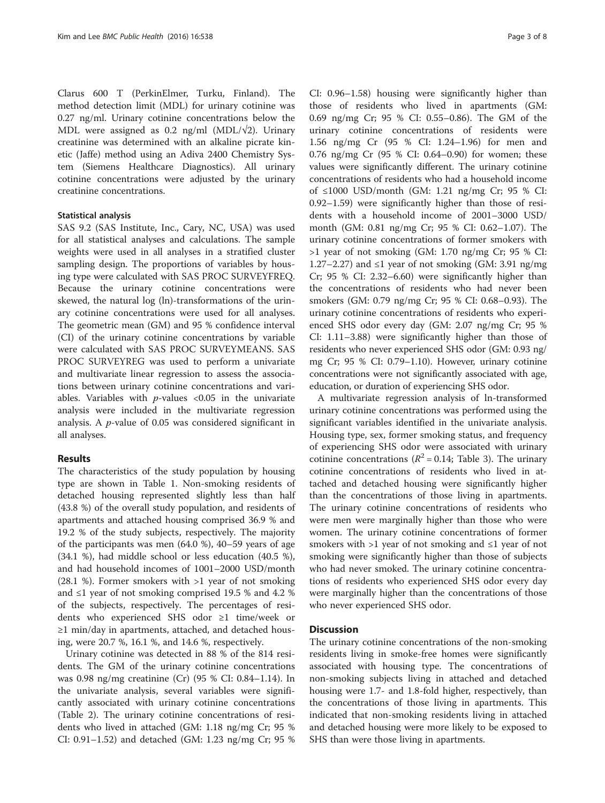Clarus 600 T (PerkinElmer, Turku, Finland). The method detection limit (MDL) for urinary cotinine was 0.27 ng/ml. Urinary cotinine concentrations below the MDL were assigned as 0.2 ng/ml (MDL/ $\sqrt{2}$ ). Urinary creatinine was determined with an alkaline picrate kinetic (Jaffe) method using an Adiva 2400 Chemistry System (Siemens Healthcare Diagnostics). All urinary cotinine concentrations were adjusted by the urinary creatinine concentrations.

### Statistical analysis

SAS 9.2 (SAS Institute, Inc., Cary, NC, USA) was used for all statistical analyses and calculations. The sample weights were used in all analyses in a stratified cluster sampling design. The proportions of variables by housing type were calculated with SAS PROC SURVEYFREQ. Because the urinary cotinine concentrations were skewed, the natural log (ln)-transformations of the urinary cotinine concentrations were used for all analyses. The geometric mean (GM) and 95 % confidence interval (CI) of the urinary cotinine concentrations by variable were calculated with SAS PROC SURVEYMEANS. SAS PROC SURVEYREG was used to perform a univariate and multivariate linear regression to assess the associations between urinary cotinine concentrations and variables. Variables with  $p$ -values <0.05 in the univariate analysis were included in the multivariate regression analysis. A p-value of 0.05 was considered significant in all analyses.

### Results

The characteristics of the study population by housing type are shown in Table [1.](#page-3-0) Non-smoking residents of detached housing represented slightly less than half (43.8 %) of the overall study population, and residents of apartments and attached housing comprised 36.9 % and 19.2 % of the study subjects, respectively. The majority of the participants was men (64.0 %), 40–59 years of age (34.1 %), had middle school or less education (40.5 %), and had household incomes of 1001–2000 USD/month (28.1 %). Former smokers with >1 year of not smoking and  $\leq$ 1 year of not smoking comprised 19.5 % and 4.2 % of the subjects, respectively. The percentages of residents who experienced SHS odor ≥1 time/week or ≥1 min/day in apartments, attached, and detached housing, were 20.7 %, 16.1 %, and 14.6 %, respectively.

Urinary cotinine was detected in 88 % of the 814 residents. The GM of the urinary cotinine concentrations was 0.98 ng/mg creatinine (Cr) (95 % CI: 0.84–1.14). In the univariate analysis, several variables were significantly associated with urinary cotinine concentrations (Table [2\)](#page-4-0). The urinary cotinine concentrations of residents who lived in attached (GM: 1.18 ng/mg Cr; 95 % CI: 0.91–1.52) and detached (GM: 1.23 ng/mg Cr; 95 % CI: 0.96–1.58) housing were significantly higher than those of residents who lived in apartments (GM: 0.69 ng/mg Cr; 95 % CI: 0.55–0.86). The GM of the urinary cotinine concentrations of residents were 1.56 ng/mg Cr (95 % CI: 1.24–1.96) for men and 0.76 ng/mg Cr (95 % CI: 0.64–0.90) for women; these values were significantly different. The urinary cotinine concentrations of residents who had a household income of ≤1000 USD/month (GM: 1.21 ng/mg Cr; 95 % CI: 0.92–1.59) were significantly higher than those of residents with a household income of 2001–3000 USD/ month (GM: 0.81 ng/mg Cr; 95 % CI: 0.62–1.07). The urinary cotinine concentrations of former smokers with >1 year of not smoking (GM: 1.70 ng/mg Cr; 95 % CI: 1.27–2.27) and ≤1 year of not smoking (GM: 3.91 ng/mg) Cr; 95 % CI: 2.32–6.60) were significantly higher than the concentrations of residents who had never been smokers (GM: 0.79 ng/mg Cr; 95 % CI: 0.68–0.93). The urinary cotinine concentrations of residents who experienced SHS odor every day (GM: 2.07 ng/mg Cr; 95 % CI: 1.11–3.88) were significantly higher than those of residents who never experienced SHS odor (GM: 0.93 ng/ mg Cr; 95 % CI: 0.79–1.10). However, urinary cotinine concentrations were not significantly associated with age, education, or duration of experiencing SHS odor.

A multivariate regression analysis of ln-transformed urinary cotinine concentrations was performed using the significant variables identified in the univariate analysis. Housing type, sex, former smoking status, and frequency of experiencing SHS odor were associated with urinary cotinine concentrations ( $R^2$  = 0.14; Table [3\)](#page-5-0). The urinary cotinine concentrations of residents who lived in attached and detached housing were significantly higher than the concentrations of those living in apartments. The urinary cotinine concentrations of residents who were men were marginally higher than those who were women. The urinary cotinine concentrations of former smokers with >1 year of not smoking and  $\leq$ 1 year of not smoking were significantly higher than those of subjects who had never smoked. The urinary cotinine concentrations of residents who experienced SHS odor every day were marginally higher than the concentrations of those who never experienced SHS odor.

### **Discussion**

The urinary cotinine concentrations of the non-smoking residents living in smoke-free homes were significantly associated with housing type. The concentrations of non-smoking subjects living in attached and detached housing were 1.7- and 1.8-fold higher, respectively, than the concentrations of those living in apartments. This indicated that non-smoking residents living in attached and detached housing were more likely to be exposed to SHS than were those living in apartments.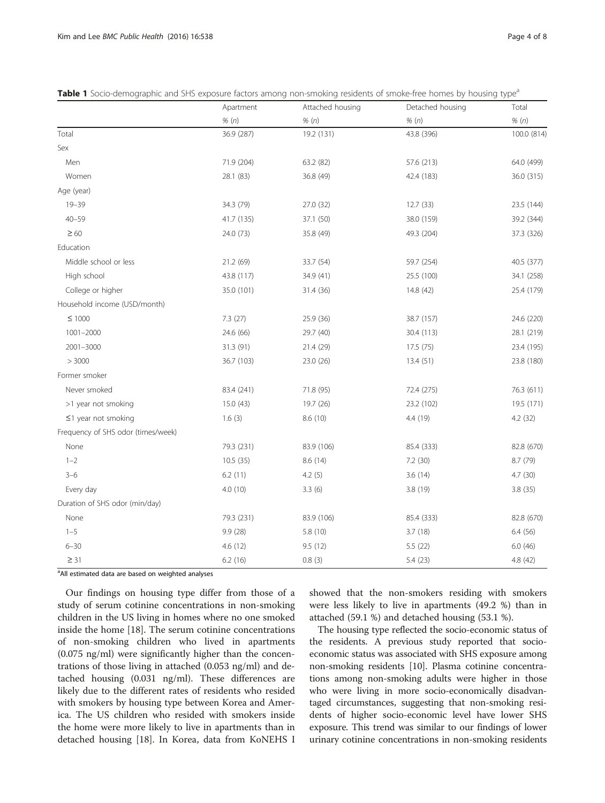|                                    | Apartment  | Attached housing | Detached housing | Total       |
|------------------------------------|------------|------------------|------------------|-------------|
|                                    | $\%$ (n)   | $\%$ (n)         | $\%$ (n)         | $\%$ (n)    |
| Total                              | 36.9 (287) | 19.2 (131)       | 43.8 (396)       | 100.0 (814) |
| Sex                                |            |                  |                  |             |
| Men                                | 71.9 (204) | 63.2 (82)        | 57.6 (213)       | 64.0 (499)  |
| Women                              | 28.1 (83)  | 36.8 (49)        | 42.4 (183)       | 36.0 (315)  |
| Age (year)                         |            |                  |                  |             |
| $19 - 39$                          | 34.3 (79)  | 27.0 (32)        | 12.7(33)         | 23.5 (144)  |
| $40 - 59$                          | 41.7 (135) | 37.1 (50)        | 38.0 (159)       | 39.2 (344)  |
| $\geq 60$                          | 24.0 (73)  | 35.8 (49)        | 49.3 (204)       | 37.3 (326)  |
| Education                          |            |                  |                  |             |
| Middle school or less              | 21.2 (69)  | 33.7 (54)        | 59.7 (254)       | 40.5 (377)  |
| High school                        | 43.8 (117) | 34.9 (41)        | 25.5 (100)       | 34.1 (258)  |
| College or higher                  | 35.0 (101) | 31.4 (36)        | 14.8 (42)        | 25.4 (179)  |
| Household income (USD/month)       |            |                  |                  |             |
| $\leq$ 1000                        | 7.3 (27)   | 25.9 (36)        | 38.7 (157)       | 24.6 (220)  |
| $1001 - 2000$                      | 24.6 (66)  | 29.7 (40)        | 30.4 (113)       | 28.1 (219)  |
| 2001-3000                          | 31.3 (91)  | 21.4 (29)        | 17.5(75)         | 23.4 (195)  |
| > 3000                             | 36.7 (103) | 23.0 (26)        | 13.4(51)         | 23.8 (180)  |
| Former smoker                      |            |                  |                  |             |
| Never smoked                       | 83.4 (241) | 71.8 (95)        | 72.4 (275)       | 76.3 (611)  |
| >1 year not smoking                | 15.0(43)   | 19.7 (26)        | 23.2 (102)       | 19.5 (171)  |
| $\leq$ 1 year not smoking          | 1.6(3)     | 8.6(10)          | 4.4 (19)         | 4.2(32)     |
| Frequency of SHS odor (times/week) |            |                  |                  |             |
| None                               | 79.3 (231) | 83.9 (106)       | 85.4 (333)       | 82.8 (670)  |
| $1 - 2$                            | 10.5 (35)  | 8.6 (14)         | 7.2 (30)         | 8.7 (79)    |
| $3 - 6$                            | 6.2(11)    | 4.2(5)           | 3.6(14)          | 4.7 (30)    |
| Every day                          | 4.0(10)    | 3.3(6)           | 3.8(19)          | 3.8(35)     |
| Duration of SHS odor (min/day)     |            |                  |                  |             |
| None                               | 79.3 (231) | 83.9 (106)       | 85.4 (333)       | 82.8 (670)  |
| $1 - 5$                            | 9.9(28)    | 5.8(10)          | 3.7(18)          | 6.4(56)     |
| $6 - 30$                           | 4.6 (12)   | 9.5(12)          | 5.5(22)          | 6.0(46)     |
| $\geq$ 31                          | 6.2(16)    | 0.8(3)           | 5.4(23)          | 4.8(42)     |

<span id="page-3-0"></span>Table 1 Socio-demographic and SHS exposure factors among non-smoking residents of smoke-free homes by housing type<sup>a</sup>

<sup>a</sup> All estimated data are based on weighted analyses

Our findings on housing type differ from those of a study of serum cotinine concentrations in non-smoking children in the US living in homes where no one smoked inside the home [[18](#page-7-0)]. The serum cotinine concentrations of non-smoking children who lived in apartments (0.075 ng/ml) were significantly higher than the concentrations of those living in attached (0.053 ng/ml) and detached housing (0.031 ng/ml). These differences are likely due to the different rates of residents who resided with smokers by housing type between Korea and America. The US children who resided with smokers inside the home were more likely to live in apartments than in detached housing [\[18\]](#page-7-0). In Korea, data from KoNEHS I

showed that the non-smokers residing with smokers were less likely to live in apartments (49.2 %) than in attached (59.1 %) and detached housing (53.1 %).

The housing type reflected the socio-economic status of the residents. A previous study reported that socioeconomic status was associated with SHS exposure among non-smoking residents [\[10\]](#page-7-0). Plasma cotinine concentrations among non-smoking adults were higher in those who were living in more socio-economically disadvantaged circumstances, suggesting that non-smoking residents of higher socio-economic level have lower SHS exposure. This trend was similar to our findings of lower urinary cotinine concentrations in non-smoking residents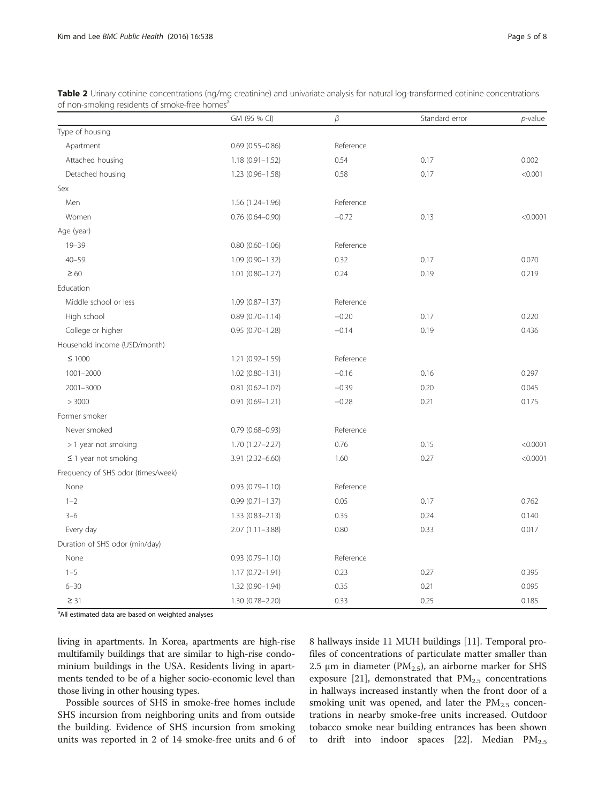|                                    | GM (95 % CI)           | $\beta$   | Standard error | $p$ -value |
|------------------------------------|------------------------|-----------|----------------|------------|
| Type of housing                    |                        |           |                |            |
| Apartment                          | $0.69(0.55 - 0.86)$    | Reference |                |            |
| Attached housing                   | $1.18(0.91 - 1.52)$    | 0.54      | 0.17           | 0.002      |
| Detached housing                   | $1.23(0.96 - 1.58)$    | 0.58      | 0.17           | < 0.001    |
| Sex                                |                        |           |                |            |
| Men                                | $1.56(1.24 - 1.96)$    | Reference |                |            |
| Women                              | $0.76$ $(0.64 - 0.90)$ | $-0.72$   | 0.13           | < 0.0001   |
| Age (year)                         |                        |           |                |            |
| $19 - 39$                          | $0.80(0.60 - 1.06)$    | Reference |                |            |
| $40 - 59$                          | $1.09(0.90 - 1.32)$    | 0.32      | 0.17           | 0.070      |
| $\geq 60$                          | $1.01(0.80 - 1.27)$    | 0.24      | 0.19           | 0.219      |
| Education                          |                        |           |                |            |
| Middle school or less              | $1.09(0.87 - 1.37)$    | Reference |                |            |
| High school                        | $0.89(0.70 - 1.14)$    | $-0.20$   | 0.17           | 0.220      |
| College or higher                  | $0.95(0.70 - 1.28)$    | $-0.14$   | 0.19           | 0.436      |
| Household income (USD/month)       |                        |           |                |            |
| $\leq 1000$                        | $1.21(0.92 - 1.59)$    | Reference |                |            |
| $1001 - 2000$                      | $1.02(0.80 - 1.31)$    | $-0.16$   | 0.16           | 0.297      |
| 2001-3000                          | $0.81(0.62 - 1.07)$    | $-0.39$   | 0.20           | 0.045      |
| > 3000                             | $0.91(0.69 - 1.21)$    | $-0.28$   | 0.21           | 0.175      |
| Former smoker                      |                        |           |                |            |
| Never smoked                       | $0.79(0.68 - 0.93)$    | Reference |                |            |
| > 1 year not smoking               | $1.70(1.27 - 2.27)$    | 0.76      | 0.15           | < 0.0001   |
| $\leq$ 1 year not smoking          | 3.91 (2.32-6.60)       | 1.60      | 0.27           | < 0.0001   |
| Frequency of SHS odor (times/week) |                        |           |                |            |
| None                               | $0.93(0.79 - 1.10)$    | Reference |                |            |
| $1 - 2$                            | $0.99(0.71 - 1.37)$    | 0.05      | 0.17           | 0.762      |
| $3 - 6$                            | $1.33(0.83 - 2.13)$    | 0.35      | 0.24           | 0.140      |
| Every day                          | $2.07(1.11 - 3.88)$    | 0.80      | 0.33           | 0.017      |
| Duration of SHS odor (min/day)     |                        |           |                |            |
| None                               | $0.93(0.79 - 1.10)$    | Reference |                |            |
| $1 - 5$                            | $1.17(0.72 - 1.91)$    | 0.23      | 0.27           | 0.395      |
| $6 - 30$                           | $1.32(0.90 - 1.94)$    | 0.35      | 0.21           | 0.095      |
| $\geq$ 31                          | 1.30 (0.78-2.20)       | 0.33      | 0.25           | 0.185      |

<span id="page-4-0"></span>Table 2 Urinary cotinine concentrations (ng/mg creatinine) and univariate analysis for natural log-transformed cotinine concentrations of non-smoking residents of smoke-free homes<sup>a</sup>

<sup>a</sup>All estimated data are based on weighted analyses

living in apartments. In Korea, apartments are high-rise multifamily buildings that are similar to high-rise condominium buildings in the USA. Residents living in apartments tended to be of a higher socio-economic level than those living in other housing types.

Possible sources of SHS in smoke-free homes include SHS incursion from neighboring units and from outside the building. Evidence of SHS incursion from smoking units was reported in 2 of 14 smoke-free units and 6 of 8 hallways inside 11 MUH buildings [[11\]](#page-7-0). Temporal profiles of concentrations of particulate matter smaller than 2.5 μm in diameter ( $PM<sub>2.5</sub>$ ), an airborne marker for SHS exposure [\[21\]](#page-7-0), demonstrated that  $PM_{2.5}$  concentrations in hallways increased instantly when the front door of a smoking unit was opened, and later the  $PM_{2.5}$  concentrations in nearby smoke-free units increased. Outdoor tobacco smoke near building entrances has been shown to drift into indoor spaces [\[22\]](#page-7-0). Median  $PM_{2.5}$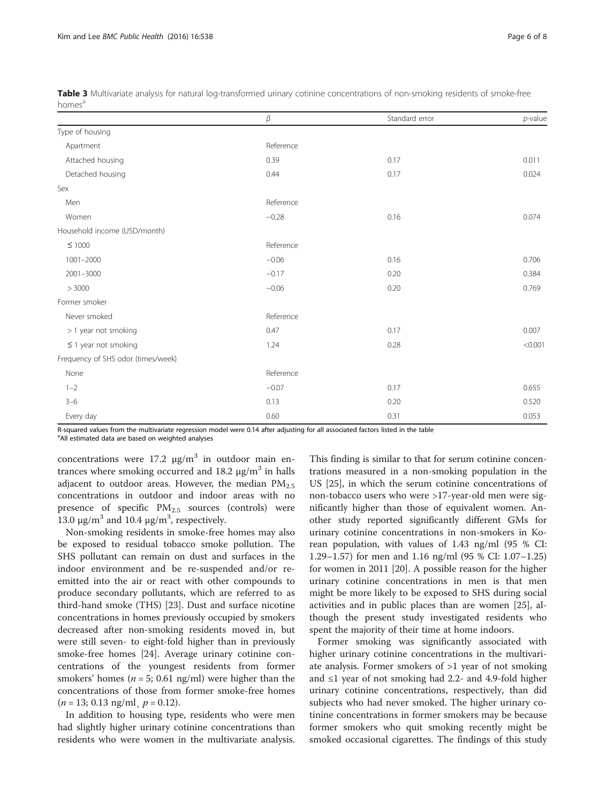|                                    | $\beta$   | Standard error | $p$ -value |
|------------------------------------|-----------|----------------|------------|
| Type of housing                    |           |                |            |
| Apartment                          | Reference |                |            |
| Attached housing                   | 0.39      | 0.17           | 0.011      |
| Detached housing                   | 0.44      | 0.17           | 0.024      |
| Sex                                |           |                |            |
| Men                                | Reference |                |            |
| Women                              | $-0.28$   | 0.16           | 0.074      |
| Household income (USD/month)       |           |                |            |
| $\leq 1000$                        | Reference |                |            |
| 1001-2000                          | $-0.06$   | 0.16           | 0.706      |
| 2001-3000                          | $-0.17$   | 0.20           | 0.384      |
| > 3000                             | $-0.06$   | 0.20           | 0.769      |
| Former smoker                      |           |                |            |
| Never smoked                       | Reference |                |            |
| > 1 year not smoking               | 0.47      | 0.17           | 0.007      |
| $\leq$ 1 year not smoking          | 1.24      | 0.28           | < 0.001    |
| Frequency of SHS odor (times/week) |           |                |            |
| None                               | Reference |                |            |
| $1 - 2$                            | $-0.07$   | 0.17           | 0.655      |
| $3 - 6$                            | 0.13      | 0.20           | 0.520      |
| Every day                          | 0.60      | 0.31           | 0.053      |

<span id="page-5-0"></span>

| Table 3 Multivariate analysis for natural log-transformed urinary cotinine concentrations of non-smoking residents of smoke-free |  |  |  |
|----------------------------------------------------------------------------------------------------------------------------------|--|--|--|
| homes <sup>a</sup>                                                                                                               |  |  |  |

R-squared values from the multivariate regression model were 0.14 after adjusting for all associated factors listed in the table <sup>a</sup> All estimated data are based on weighted analyses

concentrations were  $17.2 \mu g/m^3$  in outdoor main entrances where smoking occurred and 18.2  $\mu$ g/m<sup>3</sup> in halls adjacent to outdoor areas. However, the median  $PM_{2.5}$ concentrations in outdoor and indoor areas with no presence of specific  $PM_{2.5}$  sources (controls) were 13.0  $\mu$ g/m<sup>3</sup> and 10.4  $\mu$ g/m<sup>3</sup>, respectively.

Non-smoking residents in smoke-free homes may also be exposed to residual tobacco smoke pollution. The SHS pollutant can remain on dust and surfaces in the indoor environment and be re-suspended and/or reemitted into the air or react with other compounds to produce secondary pollutants, which are referred to as third-hand smoke (THS) [[23\]](#page-7-0). Dust and surface nicotine concentrations in homes previously occupied by smokers decreased after non-smoking residents moved in, but were still seven- to eight-fold higher than in previously smoke-free homes [[24\]](#page-7-0). Average urinary cotinine concentrations of the youngest residents from former smokers' homes ( $n = 5$ ; 0.61 ng/ml) were higher than the concentrations of those from former smoke-free homes  $(n = 13; 0.13$  ng/ml,  $p = 0.12$ ).

In addition to housing type, residents who were men had slightly higher urinary cotinine concentrations than residents who were women in the multivariate analysis. This finding is similar to that for serum cotinine concentrations measured in a non-smoking population in the US [[25\]](#page-7-0), in which the serum cotinine concentrations of non-tobacco users who were >17-year-old men were significantly higher than those of equivalent women. Another study reported significantly different GMs for urinary cotinine concentrations in non-smokers in Korean population, with values of 1.43 ng/ml (95 % CI: 1.29–1.57) for men and 1.16 ng/ml (95 % CI: 1.07–1.25) for women in 2011 [[20\]](#page-7-0). A possible reason for the higher urinary cotinine concentrations in men is that men might be more likely to be exposed to SHS during social activities and in public places than are women [[25\]](#page-7-0), although the present study investigated residents who spent the majority of their time at home indoors.

Former smoking was significantly associated with higher urinary cotinine concentrations in the multivariate analysis. Former smokers of >1 year of not smoking and ≤1 year of not smoking had 2.2- and 4.9-fold higher urinary cotinine concentrations, respectively, than did subjects who had never smoked. The higher urinary cotinine concentrations in former smokers may be because former smokers who quit smoking recently might be smoked occasional cigarettes. The findings of this study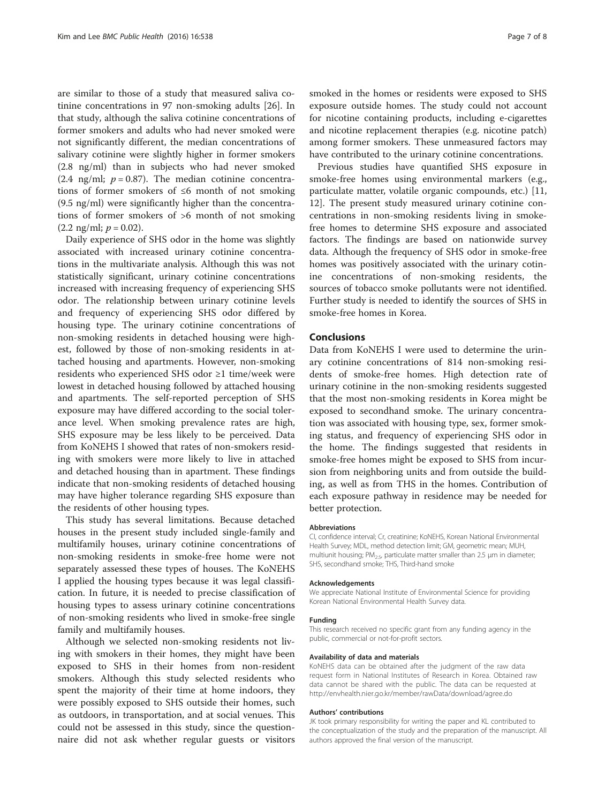are similar to those of a study that measured saliva cotinine concentrations in 97 non-smoking adults [[26\]](#page-7-0). In that study, although the saliva cotinine concentrations of former smokers and adults who had never smoked were not significantly different, the median concentrations of salivary cotinine were slightly higher in former smokers (2.8 ng/ml) than in subjects who had never smoked  $(2.4 \text{ ng/ml}; \ p = 0.87)$ . The median cotinine concentrations of former smokers of ≤6 month of not smoking (9.5 ng/ml) were significantly higher than the concentrations of former smokers of >6 month of not smoking  $(2.2 \text{ ng/ml}; p = 0.02)$ .

Daily experience of SHS odor in the home was slightly associated with increased urinary cotinine concentrations in the multivariate analysis. Although this was not statistically significant, urinary cotinine concentrations increased with increasing frequency of experiencing SHS odor. The relationship between urinary cotinine levels and frequency of experiencing SHS odor differed by housing type. The urinary cotinine concentrations of non-smoking residents in detached housing were highest, followed by those of non-smoking residents in attached housing and apartments. However, non-smoking residents who experienced SHS odor ≥1 time/week were lowest in detached housing followed by attached housing and apartments. The self-reported perception of SHS exposure may have differed according to the social tolerance level. When smoking prevalence rates are high, SHS exposure may be less likely to be perceived. Data from KoNEHS I showed that rates of non-smokers residing with smokers were more likely to live in attached and detached housing than in apartment. These findings indicate that non-smoking residents of detached housing may have higher tolerance regarding SHS exposure than the residents of other housing types.

This study has several limitations. Because detached houses in the present study included single-family and multifamily houses, urinary cotinine concentrations of non-smoking residents in smoke-free home were not separately assessed these types of houses. The KoNEHS I applied the housing types because it was legal classification. In future, it is needed to precise classification of housing types to assess urinary cotinine concentrations of non-smoking residents who lived in smoke-free single family and multifamily houses.

Although we selected non-smoking residents not living with smokers in their homes, they might have been exposed to SHS in their homes from non-resident smokers. Although this study selected residents who spent the majority of their time at home indoors, they were possibly exposed to SHS outside their homes, such as outdoors, in transportation, and at social venues. This could not be assessed in this study, since the questionnaire did not ask whether regular guests or visitors smoked in the homes or residents were exposed to SHS exposure outside homes. The study could not account for nicotine containing products, including e-cigarettes and nicotine replacement therapies (e.g. nicotine patch) among former smokers. These unmeasured factors may have contributed to the urinary cotinine concentrations.

Previous studies have quantified SHS exposure in smoke-free homes using environmental markers (e.g., particulate matter, volatile organic compounds, etc.) [[11](#page-7-0), [12\]](#page-7-0). The present study measured urinary cotinine concentrations in non-smoking residents living in smokefree homes to determine SHS exposure and associated factors. The findings are based on nationwide survey data. Although the frequency of SHS odor in smoke-free homes was positively associated with the urinary cotinine concentrations of non-smoking residents, the sources of tobacco smoke pollutants were not identified. Further study is needed to identify the sources of SHS in smoke-free homes in Korea.

### Conclusions

Data from KoNEHS I were used to determine the urinary cotinine concentrations of 814 non-smoking residents of smoke-free homes. High detection rate of urinary cotinine in the non-smoking residents suggested that the most non-smoking residents in Korea might be exposed to secondhand smoke. The urinary concentration was associated with housing type, sex, former smoking status, and frequency of experiencing SHS odor in the home. The findings suggested that residents in smoke-free homes might be exposed to SHS from incursion from neighboring units and from outside the building, as well as from THS in the homes. Contribution of each exposure pathway in residence may be needed for better protection.

#### Abbreviations

CI, confidence interval; Cr, creatinine; KoNEHS, Korean National Environmental Health Survey; MDL, method detection limit; GM, geometric mean; MUH, multiunit housing; PM<sub>2.5</sub>, particulate matter smaller than 2.5 μm in diameter; SHS, secondhand smoke; THS, Third-hand smoke

#### Acknowledgements

We appreciate National Institute of Environmental Science for providing Korean National Environmental Health Survey data.

#### Funding

This research received no specific grant from any funding agency in the public, commercial or not-for-profit sectors.

#### Availability of data and materials

KoNEHS data can be obtained after the judgment of the raw data request form in National Institutes of Research in Korea. Obtained raw data cannot be shared with the public. The data can be requested at <http://envhealth.nier.go.kr/member/rawData/download/agree.do>

#### Authors' contributions

JK took primary responsibility for writing the paper and KL contributed to the conceptualization of the study and the preparation of the manuscript. All authors approved the final version of the manuscript.